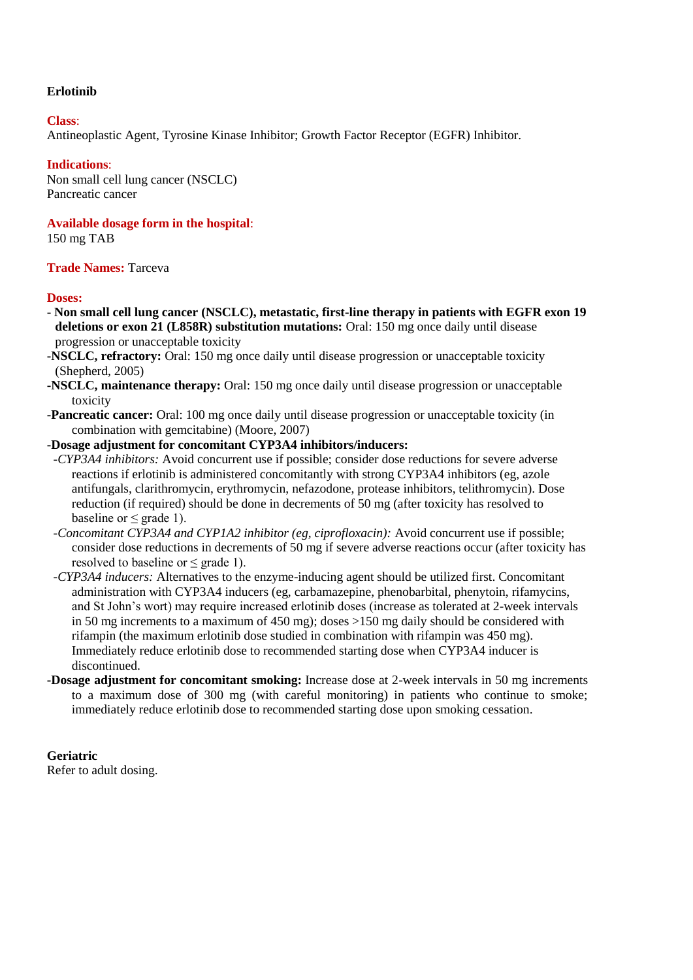# **Erlotinib**

### **Class**:

Antineoplastic Agent, Tyrosine Kinase Inhibitor; Growth Factor Receptor (EGFR) Inhibitor.

# **Indications**:

Non small cell lung cancer (NSCLC) Pancreatic cancer

# **Available dosage form in the hospital**:

150 mg TAB

# **Trade Names:** Tarceva

# **Doses:**

- **Non small cell lung cancer (NSCLC), metastatic, first-line therapy in patients with EGFR exon 19 deletions or exon 21 (L858R) substitution mutations:** Oral: 150 mg once daily until disease progression or unacceptable toxicity
- **-NSCLC, refractory:** Oral: 150 mg once daily until disease progression or unacceptable toxicity (Shepherd, 2005)
- **-NSCLC, maintenance therapy:** Oral: 150 mg once daily until disease progression or unacceptable toxicity
- **-Pancreatic cancer:** Oral: 100 mg once daily until disease progression or unacceptable toxicity (in combination with gemcitabine) (Moore, 2007)

# **-Dosage adjustment for concomitant CYP3A4 inhibitors/inducers:**

- *-CYP3A4 inhibitors:* Avoid concurrent use if possible; consider dose reductions for severe adverse reactions if erlotinib is administered concomitantly with strong CYP3A4 inhibitors (eg, azole antifungals, clarithromycin, erythromycin, nefazodone, protease inhibitors, telithromycin). Dose reduction (if required) should be done in decrements of 50 mg (after toxicity has resolved to baseline or  $\leq$  grade 1).
- *-Concomitant CYP3A4 and CYP1A2 inhibitor (eg, ciprofloxacin):* Avoid concurrent use if possible; consider dose reductions in decrements of 50 mg if severe adverse reactions occur (after toxicity has resolved to baseline or  $\leq$  grade 1).
- *-CYP3A4 inducers:* Alternatives to the enzyme-inducing agent should be utilized first. Concomitant administration with CYP3A4 inducers (eg, carbamazepine, phenobarbital, phenytoin, rifamycins, and St John's wort) may require increased erlotinib doses (increase as tolerated at 2-week intervals in 50 mg increments to a maximum of 450 mg); doses >150 mg daily should be considered with rifampin (the maximum erlotinib dose studied in combination with rifampin was 450 mg). Immediately reduce erlotinib dose to recommended starting dose when CYP3A4 inducer is discontinued.
- **-Dosage adjustment for concomitant smoking:** Increase dose at 2-week intervals in 50 mg increments to a maximum dose of 300 mg (with careful monitoring) in patients who continue to smoke; immediately reduce erlotinib dose to recommended starting dose upon smoking cessation.

**Geriatric** Refer to adult dosing.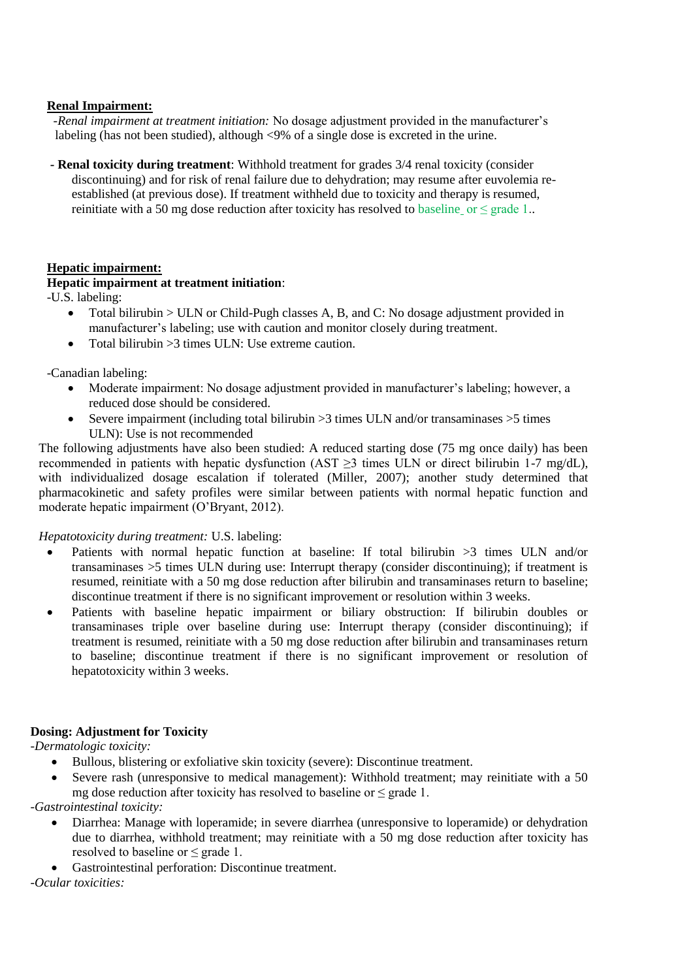### **Renal Impairment:**

 *-Renal impairment at treatment initiation:* No dosage adjustment provided in the manufacturer's labeling (has not been studied), although <9% of a single dose is excreted in the urine.

**- Renal toxicity during treatment**: Withhold treatment for grades 3/4 renal toxicity (consider discontinuing) and for risk of renal failure due to dehydration; may resume after euvolemia reestablished (at previous dose). If treatment withheld due to toxicity and therapy is resumed, reinitiate with a 50 mg dose reduction after toxicity has resolved to baseline or  $\leq$  grade 1..

# **Hepatic impairment:**

# **Hepatic impairment at treatment initiation**:

-U.S. labeling:

- Total bilirubin  $>$  ULN or Child-Pugh classes A, B, and C: No dosage adjustment provided in manufacturer's labeling; use with caution and monitor closely during treatment.
- $\bullet$  Total bilirubin >3 times ULN: Use extreme caution.

-Canadian labeling:

- Moderate impairment: No dosage adjustment provided in manufacturer's labeling; however, a reduced dose should be considered.
- Severe impairment (including total bilirubin  $>3$  times ULN and/or transaminases  $>5$  times ULN): Use is not recommended

The following adjustments have also been studied: A reduced starting dose (75 mg once daily) has been recommended in patients with hepatic dysfunction (AST  $\geq$ 3 times ULN or direct bilirubin 1-7 mg/dL), with individualized dosage escalation if tolerated (Miller, 2007); another study determined that pharmacokinetic and safety profiles were similar between patients with normal hepatic function and moderate hepatic impairment (O'Bryant, 2012).

#### *Hepatotoxicity during treatment:* U.S. labeling:

- Patients with normal hepatic function at baseline: If total bilirubin >3 times ULN and/or transaminases >5 times ULN during use: Interrupt therapy (consider discontinuing); if treatment is resumed, reinitiate with a 50 mg dose reduction after bilirubin and transaminases return to baseline; discontinue treatment if there is no significant improvement or resolution within 3 weeks.
- Patients with baseline hepatic impairment or biliary obstruction: If bilirubin doubles or transaminases triple over baseline during use: Interrupt therapy (consider discontinuing); if treatment is resumed, reinitiate with a 50 mg dose reduction after bilirubin and transaminases return to baseline; discontinue treatment if there is no significant improvement or resolution of hepatotoxicity within 3 weeks.

# **Dosing: Adjustment for Toxicity**

*-Dermatologic toxicity:*

- Bullous, blistering or exfoliative skin toxicity (severe): Discontinue treatment.
- Severe rash (unresponsive to medical management): Withhold treatment; may reinitiate with a 50 mg dose reduction after toxicity has resolved to baseline or  $\leq$  grade 1.

*-Gastrointestinal toxicity:*

- Diarrhea: Manage with loperamide; in severe diarrhea (unresponsive to loperamide) or dehydration due to diarrhea, withhold treatment; may reinitiate with a 50 mg dose reduction after toxicity has resolved to baseline or ≤ grade 1.
- Gastrointestinal perforation: Discontinue treatment.

*-Ocular toxicities:*